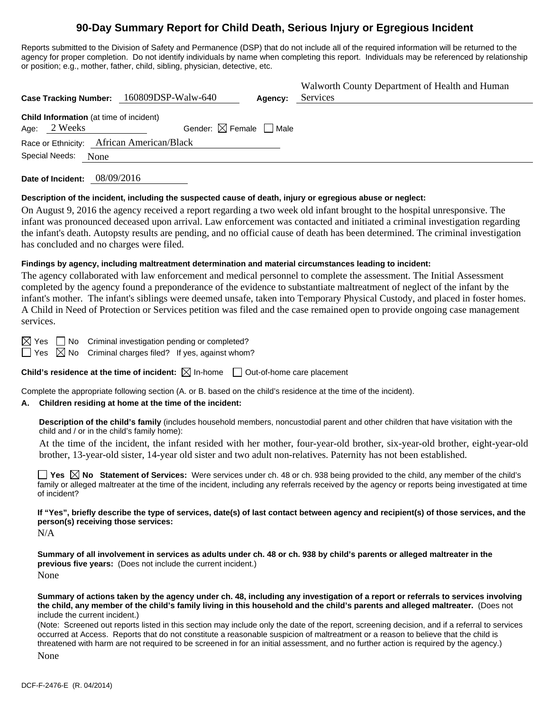# **90-Day Summary Report for Child Death, Serious Injury or Egregious Incident**

Reports submitted to the Division of Safety and Permanence (DSP) that do not include all of the required information will be returned to the agency for proper completion. Do not identify individuals by name when completing this report. Individuals may be referenced by relationship or position; e.g., mother, father, child, sibling, physician, detective, etc.

|                                                                | Case Tracking Number: 160809DSP-Walw-640          | Agency: | Walworth County Department of Health and Human<br>Services |
|----------------------------------------------------------------|---------------------------------------------------|---------|------------------------------------------------------------|
| <b>Child Information</b> (at time of incident)<br>Age: 2 Weeks | Gender: $\boxtimes$ Female $\Box$ Male            |         |                                                            |
| Special Needs:                                                 | Race or Ethnicity: African American/Black<br>None |         |                                                            |
|                                                                |                                                   |         |                                                            |

**Date of Incident:** 08/09/2016

#### **Description of the incident, including the suspected cause of death, injury or egregious abuse or neglect:**

On August 9, 2016 the agency received a report regarding a two week old infant brought to the hospital unresponsive. The infant was pronounced deceased upon arrival. Law enforcement was contacted and initiated a criminal investigation regarding the infant's death. Autopsty results are pending, and no official cause of death has been determined. The criminal investigation has concluded and no charges were filed.

#### **Findings by agency, including maltreatment determination and material circumstances leading to incident:**

The agency collaborated with law enforcement and medical personnel to complete the assessment. The Initial Assessment completed by the agency found a preponderance of the evidence to substantiate maltreatment of neglect of the infant by the infant's mother. The infant's siblings were deemed unsafe, taken into Temporary Physical Custody, and placed in foster homes. A Child in Need of Protection or Services petition was filed and the case remained open to provide ongoing case management services.

 $\boxtimes$  Yes  $\Box$  No Criminal investigation pending or completed?  $\Box$  Yes  $\boxtimes$  No Criminal charges filed? If yes, against whom?

**Child's residence at the time of incident:**  $\boxtimes$  In-home  $\Box$  Out-of-home care placement

Complete the appropriate following section (A. or B. based on the child's residence at the time of the incident).

#### **A. Children residing at home at the time of the incident:**

**Description of the child's family** (includes household members, noncustodial parent and other children that have visitation with the child and / or in the child's family home):

 At the time of the incident, the infant resided with her mother, four-year-old brother, six-year-old brother, eight-year-old brother, 13-year-old sister, 14-year old sister and two adult non-relatives. Paternity has not been established.

**Yes**  $\boxtimes$  **No** Statement of Services: Were services under ch. 48 or ch. 938 being provided to the child, any member of the child's family or alleged maltreater at the time of the incident, including any referrals received by the agency or reports being investigated at time of incident?

**If "Yes", briefly describe the type of services, date(s) of last contact between agency and recipient(s) of those services, and the person(s) receiving those services:** 

N/A

**Summary of all involvement in services as adults under ch. 48 or ch. 938 by child's parents or alleged maltreater in the previous five years:** (Does not include the current incident.) None

**Summary of actions taken by the agency under ch. 48, including any investigation of a report or referrals to services involving the child, any member of the child's family living in this household and the child's parents and alleged maltreater.** (Does not include the current incident.)

(Note: Screened out reports listed in this section may include only the date of the report, screening decision, and if a referral to services occurred at Access. Reports that do not constitute a reasonable suspicion of maltreatment or a reason to believe that the child is threatened with harm are not required to be screened in for an initial assessment, and no further action is required by the agency.)

None